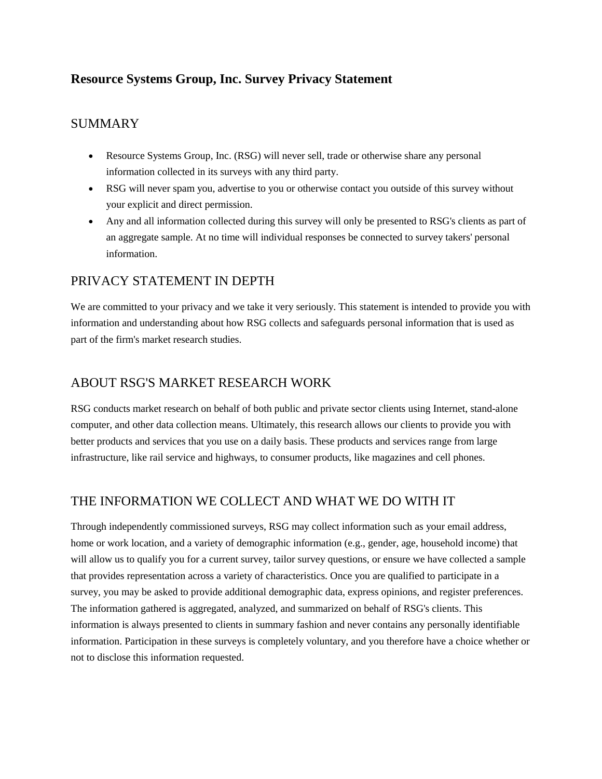# **Resource Systems Group, Inc. Survey Privacy Statement**

### SUMMARY

- Resource Systems Group, Inc. (RSG) will never sell, trade or otherwise share any personal information collected in its surveys with any third party.
- RSG will never spam you, advertise to you or otherwise contact you outside of this survey without your explicit and direct permission.
- Any and all information collected during this survey will only be presented to RSG's clients as part of an aggregate sample. At no time will individual responses be connected to survey takers' personal information.

#### PRIVACY STATEMENT IN DEPTH

We are committed to your privacy and we take it very seriously. This statement is intended to provide you with information and understanding about how RSG collects and safeguards personal information that is used as part of the firm's market research studies.

### ABOUT RSG'S MARKET RESEARCH WORK

RSG conducts market research on behalf of both public and private sector clients using Internet, stand-alone computer, and other data collection means. Ultimately, this research allows our clients to provide you with better products and services that you use on a daily basis. These products and services range from large infrastructure, like rail service and highways, to consumer products, like magazines and cell phones.

### THE INFORMATION WE COLLECT AND WHAT WE DO WITH IT

Through independently commissioned surveys, RSG may collect information such as your email address, home or work location, and a variety of demographic information (e.g., gender, age, household income) that will allow us to qualify you for a current survey, tailor survey questions, or ensure we have collected a sample that provides representation across a variety of characteristics. Once you are qualified to participate in a survey, you may be asked to provide additional demographic data, express opinions, and register preferences. The information gathered is aggregated, analyzed, and summarized on behalf of RSG's clients. This information is always presented to clients in summary fashion and never contains any personally identifiable information. Participation in these surveys is completely voluntary, and you therefore have a choice whether or not to disclose this information requested.